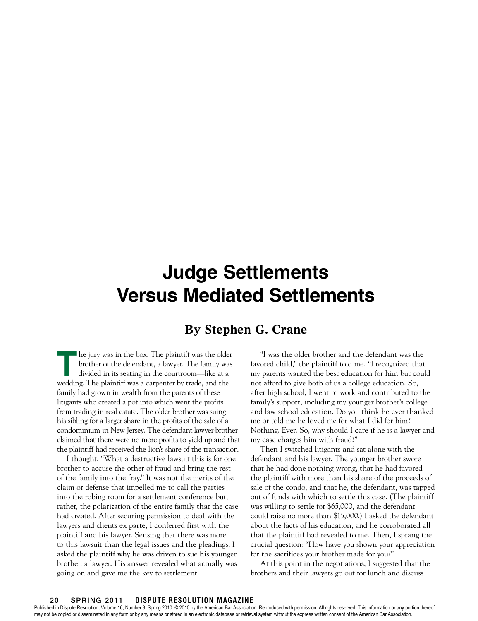# **Judge Settlements Versus Mediated Settlements**

## **By Stephen G. Crane**

**T**he jury was in the box. The plaintiff was the older brother of the defendant, a lawyer. The family was divided in its seating in the courtroom—like at a wedding. The plaintiff was a carpenter by trade, and the family had grown in wealth from the parents of these litigants who created a pot into which went the profits from trading in real estate. The older brother was suing his sibling for a larger share in the profits of the sale of a condominium in New Jersey. The defendant-lawyer-brother claimed that there were no more profits to yield up and that the plaintiff had received the lion's share of the transaction.

I thought, "What a destructive lawsuit this is for one brother to accuse the other of fraud and bring the rest of the family into the fray." It was not the merits of the claim or defense that impelled me to call the parties into the robing room for a settlement conference but, rather, the polarization of the entire family that the case had created. After securing permission to deal with the lawyers and clients ex parte, I conferred first with the plaintiff and his lawyer. Sensing that there was more to this lawsuit than the legal issues and the pleadings, I asked the plaintiff why he was driven to sue his younger brother, a lawyer. His answer revealed what actually was going on and gave me the key to settlement.

"I was the older brother and the defendant was the favored child," the plaintiff told me. "I recognized that my parents wanted the best education for him but could not afford to give both of us a college education. So, after high school, I went to work and contributed to the family's support, including my younger brother's college and law school education. Do you think he ever thanked me or told me he loved me for what I did for him? Nothing. Ever. So, why should I care if he is a lawyer and my case charges him with fraud?"

Then I switched litigants and sat alone with the defendant and his lawyer. The younger brother swore that he had done nothing wrong, that he had favored the plaintiff with more than his share of the proceeds of sale of the condo, and that he, the defendant, was tapped out of funds with which to settle this case. (The plaintiff was willing to settle for \$65,000, and the defendant could raise no more than \$15,000.) I asked the defendant about the facts of his education, and he corroborated all that the plaintiff had revealed to me. Then, I sprang the crucial question: "How have you shown your appreciation for the sacrifices your brother made for you?"

At this point in the negotiations, I suggested that the brothers and their lawyers go out for lunch and discuss

#### 20 spring 2011 **DISPUTE RESOLUTION MAGAZINE**

Published in Dispute Resolution, Volume 16, Number 3, Spring 2010. © 2010 by the American Bar Association. Reproduced with permission. All rights reserved. This information or any portion thereof may not be copied or disseminated in any form or by any means or stored in an electronic database or retrieval system without the express written consent of the American Bar Association.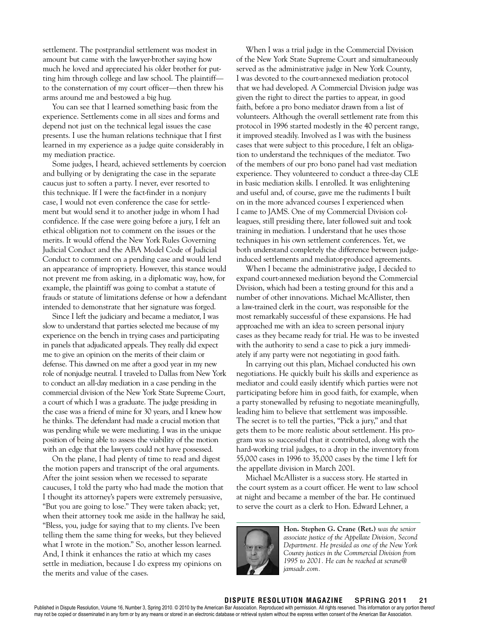settlement. The postprandial settlement was modest in amount but came with the lawyer-brother saying how much he loved and appreciated his older brother for putting him through college and law school. The plaintiff to the consternation of my court officer—then threw his arms around me and bestowed a big hug.

You can see that I learned something basic from the experience. Settlements come in all sizes and forms and depend not just on the technical legal issues the case presents. I use the human relations technique that I first learned in my experience as a judge quite considerably in my mediation practice.

Some judges, I heard, achieved settlements by coercion and bullying or by denigrating the case in the separate caucus just to soften a party. I never, ever resorted to this technique. If I were the fact-finder in a nonjury case, I would not even conference the case for settlement but would send it to another judge in whom I had confidence. If the case were going before a jury, I felt an ethical obligation not to comment on the issues or the merits. It would offend the New York Rules Governing Judicial Conduct and the ABA Model Code of Judicial Conduct to comment on a pending case and would lend an appearance of impropriety. However, this stance would not prevent me from asking, in a diplomatic way, how, for example, the plaintiff was going to combat a statute of frauds or statute of limitations defense or how a defendant intended to demonstrate that her signature was forged.

Since I left the judiciary and became a mediator, I was slow to understand that parties selected me because of my experience on the bench in trying cases and participating in panels that adjudicated appeals. They really did expect me to give an opinion on the merits of their claim or defense. This dawned on me after a good year in my new role of nonjudge neutral. I traveled to Dallas from New York to conduct an all-day mediation in a case pending in the commercial division of the New York State Supreme Court, a court of which I was a graduate. The judge presiding in the case was a friend of mine for 30 years, and I knew how he thinks. The defendant had made a crucial motion that was pending while we were mediating. I was in the unique position of being able to assess the viability of the motion with an edge that the lawyers could not have possessed.

On the plane, I had plenty of time to read and digest the motion papers and transcript of the oral arguments. After the joint session when we recessed to separate caucuses, I told the party who had made the motion that I thought its attorney's papers were extremely persuasive, "But you are going to lose." They were taken aback; yet, when their attorney took me aside in the hallway he said, "Bless, you, judge for saying that to my clients. I've been telling them the same thing for weeks, but they believed what I wrote in the motion." So, another lesson learned. And, I think it enhances the ratio at which my cases settle in mediation, because I do express my opinions on the merits and value of the cases.

When I was a trial judge in the Commercial Division of the New York State Supreme Court and simultaneously served as the administrative judge in New York County, I was devoted to the court-annexed mediation protocol that we had developed. A Commercial Division judge was given the right to direct the parties to appear, in good faith, before a pro bono mediator drawn from a list of volunteers. Although the overall settlement rate from this protocol in 1996 started modestly in the 40 percent range, it improved steadily. Involved as I was with the business cases that were subject to this procedure, I felt an obligation to understand the techniques of the mediator. Two of the members of our pro bono panel had vast mediation experience. They volunteered to conduct a three-day CLE in basic mediation skills. I enrolled. It was enlightening and useful and, of course, gave me the rudiments I built on in the more advanced courses I experienced when I came to JAMS. One of my Commercial Division colleagues, still presiding there, later followed suit and took training in mediation. I understand that he uses those techniques in his own settlement conferences. Yet, we both understand completely the difference between judgeinduced settlements and mediator-produced agreements.

When I became the administrative judge, I decided to expand court-annexed mediation beyond the Commercial Division, which had been a testing ground for this and a number of other innovations. Michael McAllister, then a law-trained clerk in the court, was responsible for the most remarkably successful of these expansions. He had approached me with an idea to screen personal injury cases as they became ready for trial. He was to be invested with the authority to send a case to pick a jury immediately if any party were not negotiating in good faith.

In carrying out this plan, Michael conducted his own negotiations. He quickly built his skills and experience as mediator and could easily identify which parties were not participating before him in good faith, for example, when a party stonewalled by refusing to negotiate meaningfully, leading him to believe that settlement was impossible. The secret is to tell the parties, "Pick a jury," and that gets them to be more realistic about settlement. His program was so successful that it contributed, along with the hard-working trial judges, to a drop in the inventory from 55,000 cases in 1996 to 35,000 cases by the time I left for the appellate division in March 2001.

Michael McAllister is a success story. He started in the court system as a court officer. He went to law school at night and became a member of the bar. He continued to serve the court as a clerk to Hon. Edward Lehner, a



**Hon. Stephen G. Crane (Ret.)** *was the senior associate justice of the Appellate Division, Second Department. He presided as one of the New York County justices in the Commercial Division from 1995 to 2001. He can be reached at scrane@ jamsadr.com.*

#### **DISPUTE RESOLUTION MAGAZINE** spring 2011 21

Published in Dispute Resolution, Volume 16, Number 3, Spring 2010. © 2010 by the American Bar Association. Reproduced with permission. All rights reserved. This information or any portion thereof may not be copied or disseminated in any form or by any means or stored in an electronic database or retrieval system without the express written consent of the American Bar Association.